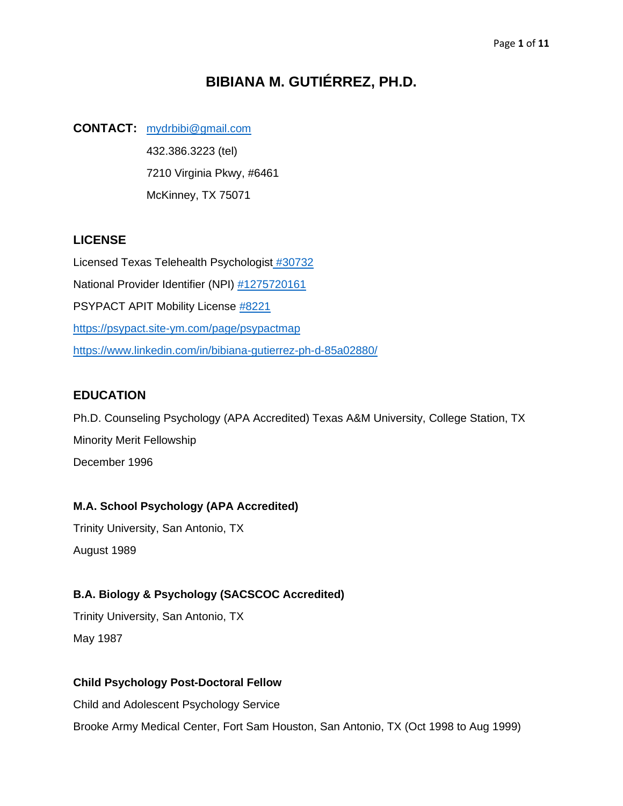# **BIBIANA M. GUTIÉRREZ, PH.D.**

# **CONTACT:** [mydrbibi@gmail.com](mailto:%20mydrbibi@gmail.com?subject=Interest%20in%20your%20Vita)

432.386.3223 (tel) 7210 Virginia Pkwy, #6461 McKinney, TX 75071

# **LICENSE**

Licensed Texas Telehealth Psychologist [#30732](https://vo.licensing.hpc.texas.gov/datamart/selSearchType.do) National Provider Identifier (NPI) [#1275720161](https://npidb.org/npi-lookup/?s=ac) PSYPACT APIT Mobility License [#8221](https://www.verifypsypact.org/PsypactDirectory) <https://psypact.site-ym.com/page/psypactmap> <https://www.linkedin.com/in/bibiana-gutierrez-ph-d-85a02880/>

# **EDUCATION**

Ph.D. Counseling Psychology (APA Accredited) Texas A&M University, College Station, TX Minority Merit Fellowship December 1996

# **M.A. School Psychology (APA Accredited)**

Trinity University, San Antonio, TX August 1989

# **B.A. Biology & Psychology (SACSCOC Accredited)**

Trinity University, San Antonio, TX May 1987

# **Child Psychology Post-Doctoral Fellow**

Child and Adolescent Psychology Service Brooke Army Medical Center, Fort Sam Houston, San Antonio, TX (Oct 1998 to Aug 1999)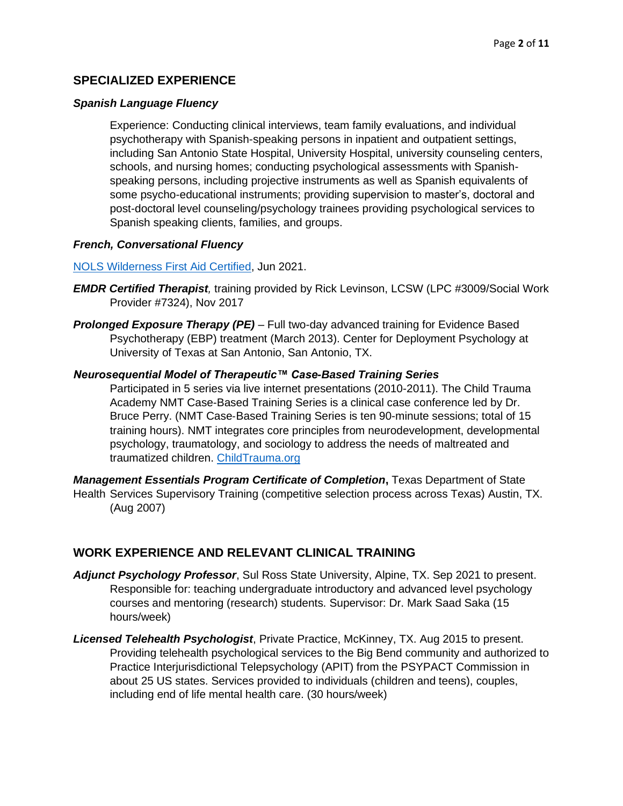## **SPECIALIZED EXPERIENCE**

#### *Spanish Language Fluency*

Experience: Conducting clinical interviews, team family evaluations, and individual psychotherapy with Spanish-speaking persons in inpatient and outpatient settings, including San Antonio State Hospital, University Hospital, university counseling centers, schools, and nursing homes; conducting psychological assessments with Spanishspeaking persons, including projective instruments as well as Spanish equivalents of some psycho-educational instruments; providing supervision to master's, doctoral and post-doctoral level counseling/psychology trainees providing psychological services to Spanish speaking clients, families, and groups.

#### *French, Conversational Fluency*

#### [NOLS Wilderness First Aid Certified,](https://www.nols.edu/en/coursefinder/courses/wilderness-first-aid-WFA/) Jun 2021.

- *EMDR Certified Therapist,* training provided by Rick Levinson, LCSW (LPC #3009/Social Work Provider #7324), Nov 2017
- *Prolonged Exposure Therapy (PE)* Full two-day advanced training for Evidence Based Psychotherapy (EBP) treatment (March 2013). Center for Deployment Psychology at University of Texas at San Antonio, San Antonio, TX.

#### *Neurosequential Model of Therapeutic™ Case-Based Training Series*

Participated in 5 series via live internet presentations (2010-2011). The Child Trauma Academy NMT Case-Based Training Series is a clinical case conference led by Dr. Bruce Perry. (NMT Case‐Based Training Series is ten 90-minute sessions; total of 15 training hours). NMT integrates core principles from neurodevelopment, developmental psychology, traumatology, and sociology to address the needs of maltreated and traumatized children. [ChildTrauma.org](file:///C:/Users/Bibiana%20Gutierrez/Documents/VITA/ChildTrauma.org)

*Management Essentials Program Certificate of Completion***,** Texas Department of State Health Services Supervisory Training (competitive selection process across Texas) Austin, TX. (Aug 2007)

## **WORK EXPERIENCE AND RELEVANT CLINICAL TRAINING**

- *Adjunct Psychology Professor*, Sul Ross State University, Alpine, TX. Sep 2021 to present. Responsible for: teaching undergraduate introductory and advanced level psychology courses and mentoring (research) students. Supervisor: Dr. Mark Saad Saka (15 hours/week)
- *Licensed Telehealth Psychologist*, Private Practice, McKinney, TX. Aug 2015 to present. Providing telehealth psychological services to the Big Bend community and authorized to Practice Interjurisdictional Telepsychology (APIT) from the PSYPACT Commission in about 25 US states. Services provided to individuals (children and teens), couples, including end of life mental health care. (30 hours/week)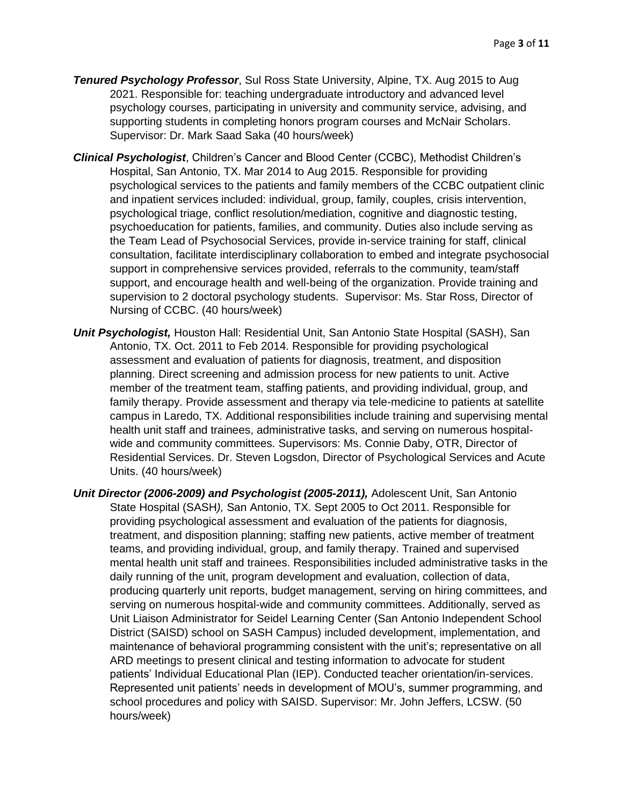- *Tenured Psychology Professor*, Sul Ross State University, Alpine, TX. Aug 2015 to Aug 2021. Responsible for: teaching undergraduate introductory and advanced level psychology courses, participating in university and community service, advising, and supporting students in completing honors program courses and McNair Scholars. Supervisor: Dr. Mark Saad Saka (40 hours/week)
- *Clinical Psychologist*, Children's Cancer and Blood Center (CCBC), Methodist Children's Hospital, San Antonio, TX. Mar 2014 to Aug 2015. Responsible for providing psychological services to the patients and family members of the CCBC outpatient clinic and inpatient services included: individual, group, family, couples, crisis intervention, psychological triage, conflict resolution/mediation, cognitive and diagnostic testing, psychoeducation for patients, families, and community. Duties also include serving as the Team Lead of Psychosocial Services, provide in-service training for staff, clinical consultation, facilitate interdisciplinary collaboration to embed and integrate psychosocial support in comprehensive services provided, referrals to the community, team/staff support, and encourage health and well-being of the organization. Provide training and supervision to 2 doctoral psychology students. Supervisor: Ms. Star Ross, Director of Nursing of CCBC. (40 hours/week)
- *Unit Psychologist,* Houston Hall: Residential Unit, San Antonio State Hospital (SASH), San Antonio, TX. Oct. 2011 to Feb 2014. Responsible for providing psychological assessment and evaluation of patients for diagnosis, treatment, and disposition planning. Direct screening and admission process for new patients to unit. Active member of the treatment team, staffing patients, and providing individual, group, and family therapy. Provide assessment and therapy via tele-medicine to patients at satellite campus in Laredo, TX. Additional responsibilities include training and supervising mental health unit staff and trainees, administrative tasks, and serving on numerous hospitalwide and community committees. Supervisors: Ms. Connie Daby, OTR, Director of Residential Services. Dr. Steven Logsdon, Director of Psychological Services and Acute Units. (40 hours/week)
- *Unit Director (2006-2009) and Psychologist (2005-2011),* Adolescent Unit, San Antonio State Hospital (SASH*),* San Antonio, TX. Sept 2005 to Oct 2011. Responsible for providing psychological assessment and evaluation of the patients for diagnosis, treatment, and disposition planning; staffing new patients, active member of treatment teams, and providing individual, group, and family therapy. Trained and supervised mental health unit staff and trainees. Responsibilities included administrative tasks in the daily running of the unit, program development and evaluation, collection of data, producing quarterly unit reports, budget management, serving on hiring committees, and serving on numerous hospital-wide and community committees. Additionally, served as Unit Liaison Administrator for Seidel Learning Center (San Antonio Independent School District (SAISD) school on SASH Campus) included development, implementation, and maintenance of behavioral programming consistent with the unit's; representative on all ARD meetings to present clinical and testing information to advocate for student patients' Individual Educational Plan (IEP). Conducted teacher orientation/in-services. Represented unit patients' needs in development of MOU's, summer programming, and school procedures and policy with SAISD. Supervisor: Mr. John Jeffers, LCSW. (50 hours/week)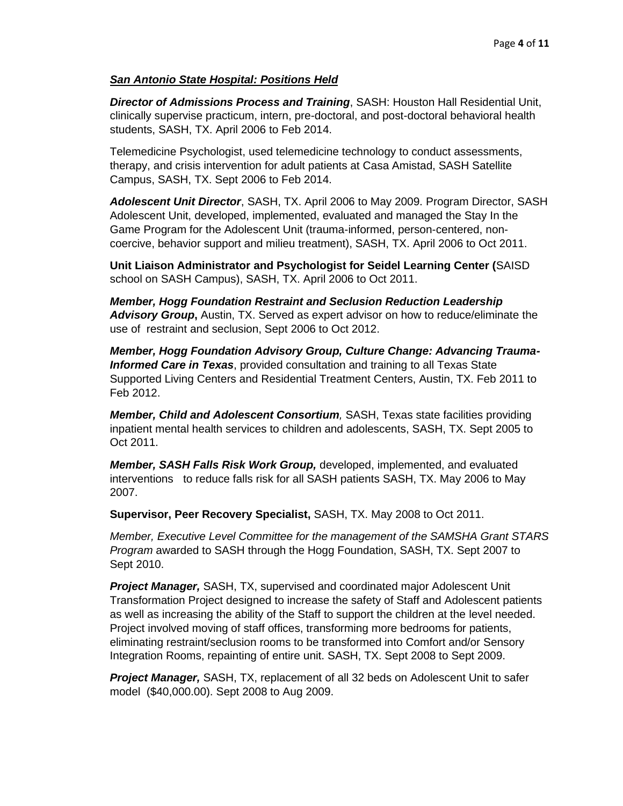### *San Antonio State Hospital: Positions Held*

*Director of Admissions Process and Training*, SASH: Houston Hall Residential Unit, clinically supervise practicum, intern, pre-doctoral, and post-doctoral behavioral health students, SASH, TX. April 2006 to Feb 2014.

Telemedicine Psychologist, used telemedicine technology to conduct assessments, therapy, and crisis intervention for adult patients at Casa Amistad, SASH Satellite Campus, SASH, TX. Sept 2006 to Feb 2014.

*Adolescent Unit Director*, SASH, TX. April 2006 to May 2009. Program Director, SASH Adolescent Unit, developed, implemented, evaluated and managed the Stay In the Game Program for the Adolescent Unit (trauma-informed, person-centered, noncoercive, behavior support and milieu treatment), SASH, TX. April 2006 to Oct 2011.

**Unit Liaison Administrator and Psychologist for Seidel Learning Center (**SAISD school on SASH Campus), SASH, TX. April 2006 to Oct 2011.

*Member, Hogg Foundation Restraint and Seclusion Reduction Leadership Advisory Group***,** Austin, TX. Served as expert advisor on how to reduce/eliminate the use of restraint and seclusion, Sept 2006 to Oct 2012.

*Member, Hogg Foundation Advisory Group, Culture Change: Advancing Trauma-Informed Care in Texas*, provided consultation and training to all Texas State Supported Living Centers and Residential Treatment Centers, Austin, TX. Feb 2011 to Feb 2012.

*Member, Child and Adolescent Consortium,* SASH, Texas state facilities providing inpatient mental health services to children and adolescents, SASH, TX. Sept 2005 to Oct 2011.

*Member, SASH Falls Risk Work Group,* developed, implemented, and evaluated interventions to reduce falls risk for all SASH patients SASH, TX. May 2006 to May 2007.

**Supervisor, Peer Recovery Specialist,** SASH, TX. May 2008 to Oct 2011.

*Member, Executive Level Committee for the management of the SAMSHA Grant STARS Program* awarded to SASH through the Hogg Foundation, SASH, TX. Sept 2007 to Sept 2010.

*Project Manager,* SASH, TX, supervised and coordinated major Adolescent Unit Transformation Project designed to increase the safety of Staff and Adolescent patients as well as increasing the ability of the Staff to support the children at the level needed. Project involved moving of staff offices, transforming more bedrooms for patients, eliminating restraint/seclusion rooms to be transformed into Comfort and/or Sensory Integration Rooms, repainting of entire unit. SASH, TX. Sept 2008 to Sept 2009.

*Project Manager,* SASH, TX, replacement of all 32 beds on Adolescent Unit to safer model (\$40,000.00). Sept 2008 to Aug 2009.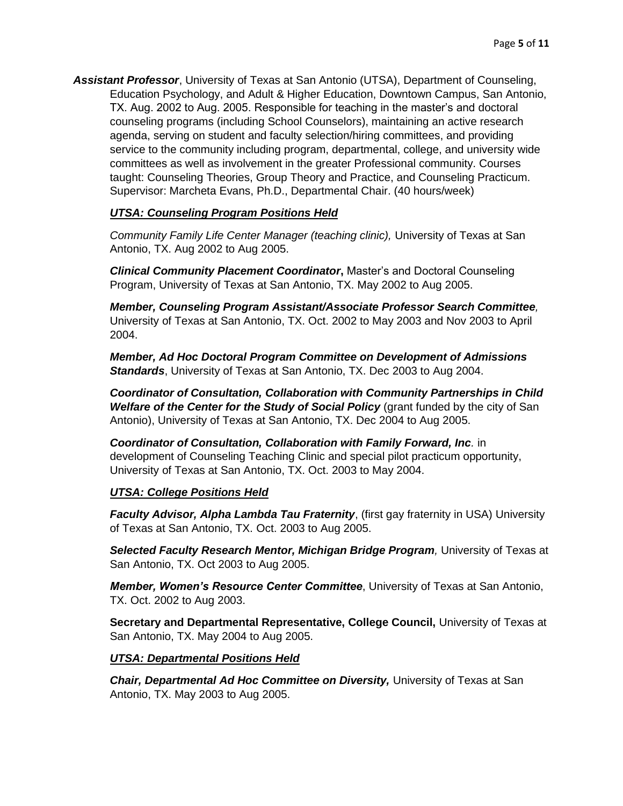*Assistant Professor*, University of Texas at San Antonio (UTSA), Department of Counseling, Education Psychology, and Adult & Higher Education, Downtown Campus, San Antonio, TX. Aug. 2002 to Aug. 2005. Responsible for teaching in the master's and doctoral counseling programs (including School Counselors), maintaining an active research agenda, serving on student and faculty selection/hiring committees, and providing service to the community including program, departmental, college, and university wide committees as well as involvement in the greater Professional community. Courses taught: Counseling Theories, Group Theory and Practice, and Counseling Practicum. Supervisor: Marcheta Evans, Ph.D., Departmental Chair. (40 hours/week)

## *UTSA: Counseling Program Positions Held*

*Community Family Life Center Manager (teaching clinic),* University of Texas at San Antonio, TX. Aug 2002 to Aug 2005.

*Clinical Community Placement Coordinator***,** Master's and Doctoral Counseling Program, University of Texas at San Antonio, TX. May 2002 to Aug 2005.

*Member, Counseling Program Assistant/Associate Professor Search Committee,*  University of Texas at San Antonio, TX. Oct. 2002 to May 2003 and Nov 2003 to April 2004.

*Member, Ad Hoc Doctoral Program Committee on Development of Admissions Standards*, University of Texas at San Antonio, TX. Dec 2003 to Aug 2004.

*Coordinator of Consultation, Collaboration with Community Partnerships in Child Welfare of the Center for the Study of Social Policy* (grant funded by the city of San Antonio), University of Texas at San Antonio, TX. Dec 2004 to Aug 2005.

*Coordinator of Consultation, Collaboration with Family Forward, Inc.* in development of Counseling Teaching Clinic and special pilot practicum opportunity, University of Texas at San Antonio, TX. Oct. 2003 to May 2004.

#### *UTSA: College Positions Held*

*Faculty Advisor, Alpha Lambda Tau Fraternity, (first gay fraternity in USA) University* of Texas at San Antonio, TX. Oct. 2003 to Aug 2005.

*Selected Faculty Research Mentor, Michigan Bridge Program,* University of Texas at San Antonio, TX. Oct 2003 to Aug 2005.

*Member, Women's Resource Center Committee*, University of Texas at San Antonio, TX. Oct. 2002 to Aug 2003.

**Secretary and Departmental Representative, College Council,** University of Texas at San Antonio, TX. May 2004 to Aug 2005.

#### *UTSA: Departmental Positions Held*

*Chair, Departmental Ad Hoc Committee on Diversity,* University of Texas at San Antonio, TX. May 2003 to Aug 2005.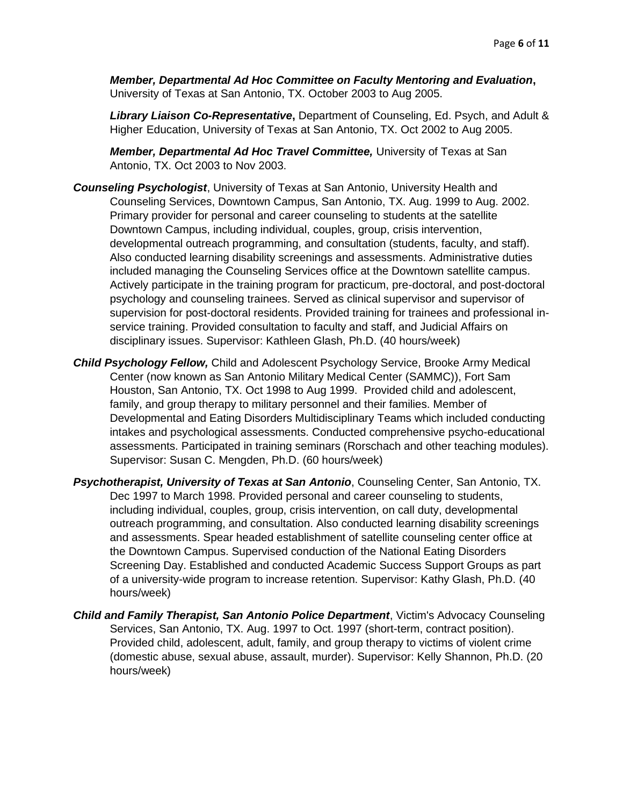*Member, Departmental Ad Hoc Committee on Faculty Mentoring and Evaluation***,** University of Texas at San Antonio, TX. October 2003 to Aug 2005.

*Library Liaison Co-Representative***,** Department of Counseling, Ed. Psych, and Adult & Higher Education, University of Texas at San Antonio, TX. Oct 2002 to Aug 2005.

*Member, Departmental Ad Hoc Travel Committee,* University of Texas at San Antonio, TX. Oct 2003 to Nov 2003.

- *Counseling Psychologist*, University of Texas at San Antonio, University Health and Counseling Services, Downtown Campus, San Antonio, TX. Aug. 1999 to Aug. 2002. Primary provider for personal and career counseling to students at the satellite Downtown Campus, including individual, couples, group, crisis intervention, developmental outreach programming, and consultation (students, faculty, and staff). Also conducted learning disability screenings and assessments. Administrative duties included managing the Counseling Services office at the Downtown satellite campus. Actively participate in the training program for practicum, pre-doctoral, and post-doctoral psychology and counseling trainees. Served as clinical supervisor and supervisor of supervision for post-doctoral residents. Provided training for trainees and professional inservice training. Provided consultation to faculty and staff, and Judicial Affairs on disciplinary issues. Supervisor: Kathleen Glash, Ph.D. (40 hours/week)
- *Child Psychology Fellow,* Child and Adolescent Psychology Service, Brooke Army Medical Center (now known as San Antonio Military Medical Center (SAMMC)), Fort Sam Houston, San Antonio, TX. Oct 1998 to Aug 1999. Provided child and adolescent, family, and group therapy to military personnel and their families. Member of Developmental and Eating Disorders Multidisciplinary Teams which included conducting intakes and psychological assessments. Conducted comprehensive psycho-educational assessments. Participated in training seminars (Rorschach and other teaching modules). Supervisor: Susan C. Mengden, Ph.D. (60 hours/week)
- *Psychotherapist, University of Texas at San Antonio*, Counseling Center, San Antonio, TX. Dec 1997 to March 1998. Provided personal and career counseling to students, including individual, couples, group, crisis intervention, on call duty, developmental outreach programming, and consultation. Also conducted learning disability screenings and assessments. Spear headed establishment of satellite counseling center office at the Downtown Campus. Supervised conduction of the National Eating Disorders Screening Day. Established and conducted Academic Success Support Groups as part of a university-wide program to increase retention. Supervisor: Kathy Glash, Ph.D. (40 hours/week)
- *Child and Family Therapist, San Antonio Police Department*, Victim's Advocacy Counseling Services, San Antonio, TX. Aug. 1997 to Oct. 1997 (short-term, contract position). Provided child, adolescent, adult, family, and group therapy to victims of violent crime (domestic abuse, sexual abuse, assault, murder). Supervisor: Kelly Shannon, Ph.D. (20 hours/week)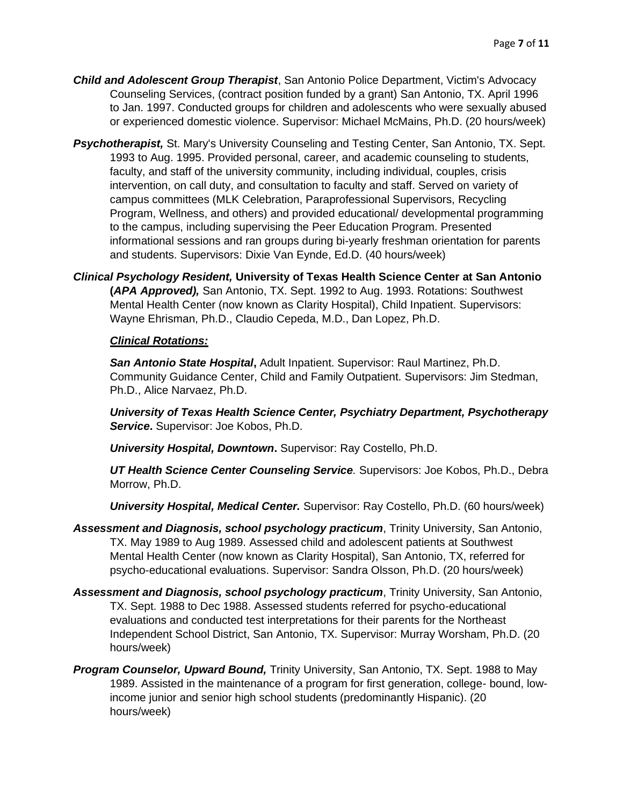- *Child and Adolescent Group Therapist*, San Antonio Police Department, Victim's Advocacy Counseling Services, (contract position funded by a grant) San Antonio, TX. April 1996 to Jan. 1997. Conducted groups for children and adolescents who were sexually abused or experienced domestic violence. Supervisor: Michael McMains, Ph.D. (20 hours/week)
- *Psychotherapist,* St. Mary's University Counseling and Testing Center, San Antonio, TX. Sept. 1993 to Aug. 1995. Provided personal, career, and academic counseling to students, faculty, and staff of the university community, including individual, couples, crisis intervention, on call duty, and consultation to faculty and staff. Served on variety of campus committees (MLK Celebration, Paraprofessional Supervisors, Recycling Program, Wellness, and others) and provided educational/ developmental programming to the campus, including supervising the Peer Education Program. Presented informational sessions and ran groups during bi-yearly freshman orientation for parents and students. Supervisors: Dixie Van Eynde, Ed.D. (40 hours/week)
- *Clinical Psychology Resident,* **University of Texas Health Science Center at San Antonio (***APA Approved),* San Antonio, TX. Sept. 1992 to Aug. 1993. Rotations: Southwest Mental Health Center (now known as Clarity Hospital), Child Inpatient. Supervisors: Wayne Ehrisman, Ph.D., Claudio Cepeda, M.D., Dan Lopez, Ph.D.

#### *Clinical Rotations:*

*San Antonio State Hospital***,** Adult Inpatient. Supervisor: Raul Martinez, Ph.D. Community Guidance Center, Child and Family Outpatient. Supervisors: Jim Stedman, Ph.D., Alice Narvaez, Ph.D.

*University of Texas Health Science Center, Psychiatry Department, Psychotherapy Service***.** Supervisor: Joe Kobos, Ph.D.

*University Hospital, Downtown***.** Supervisor: Ray Costello, Ph.D.

*UT Health Science Center Counseling Service.* Supervisors: Joe Kobos, Ph.D., Debra Morrow, Ph.D.

*University Hospital, Medical Center.* Supervisor: Ray Costello, Ph.D. (60 hours/week)

- *Assessment and Diagnosis, school psychology practicum*, Trinity University, San Antonio, TX. May 1989 to Aug 1989. Assessed child and adolescent patients at Southwest Mental Health Center (now known as Clarity Hospital), San Antonio, TX, referred for psycho-educational evaluations. Supervisor: Sandra Olsson, Ph.D. (20 hours/week)
- *Assessment and Diagnosis, school psychology practicum*, Trinity University, San Antonio, TX. Sept. 1988 to Dec 1988. Assessed students referred for psycho-educational evaluations and conducted test interpretations for their parents for the Northeast Independent School District, San Antonio, TX. Supervisor: Murray Worsham, Ph.D. (20 hours/week)
- *Program Counselor, Upward Bound,* Trinity University, San Antonio, TX. Sept. 1988 to May 1989. Assisted in the maintenance of a program for first generation, college- bound, lowincome junior and senior high school students (predominantly Hispanic). (20 hours/week)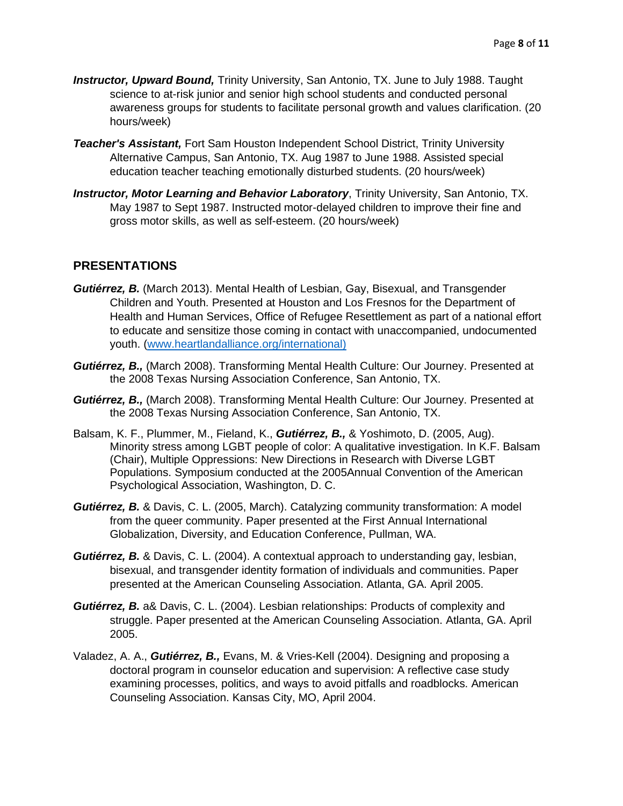- *Instructor, Upward Bound,* Trinity University, San Antonio, TX. June to July 1988. Taught science to at-risk junior and senior high school students and conducted personal awareness groups for students to facilitate personal growth and values clarification. (20 hours/week)
- *Teacher's Assistant,* Fort Sam Houston Independent School District, Trinity University Alternative Campus, San Antonio, TX. Aug 1987 to June 1988. Assisted special education teacher teaching emotionally disturbed students. (20 hours/week)
- *Instructor, Motor Learning and Behavior Laboratory*, Trinity University, San Antonio, TX. May 1987 to Sept 1987. Instructed motor-delayed children to improve their fine and gross motor skills, as well as self-esteem. (20 hours/week)

## **PRESENTATIONS**

- *Gutiérrez, B.* (March 2013). Mental Health of Lesbian, Gay, Bisexual, and Transgender Children and Youth. Presented at Houston and Los Fresnos for the Department of Health and Human Services, Office of Refugee Resettlement as part of a national effort to educate and sensitize those coming in contact with unaccompanied, undocumented youth. [\(www.heartlandalliance.org/international\)](http://www.heartlandalliance.org/international)
- *Gutiérrez, B.,* (March 2008). Transforming Mental Health Culture: Our Journey. Presented at the 2008 Texas Nursing Association Conference, San Antonio, TX.
- *Gutiérrez, B.,* (March 2008). Transforming Mental Health Culture: Our Journey. Presented at the 2008 Texas Nursing Association Conference, San Antonio, TX.
- Balsam, K. F., Plummer, M., Fieland, K., *Gutiérrez, B.,* & Yoshimoto, D. (2005, Aug). Minority stress among LGBT people of color: A qualitative investigation. In K.F. Balsam (Chair), Multiple Oppressions: New Directions in Research with Diverse LGBT Populations. Symposium conducted at the 2005Annual Convention of the American Psychological Association, Washington, D. C.
- *Gutiérrez, B.* & Davis, C. L. (2005, March). Catalyzing community transformation: A model from the queer community. Paper presented at the First Annual International Globalization, Diversity, and Education Conference, Pullman, WA.
- *Gutiérrez, B.* & Davis, C. L. (2004). A contextual approach to understanding gay, lesbian, bisexual, and transgender identity formation of individuals and communities. Paper presented at the American Counseling Association. Atlanta, GA. April 2005.
- *Gutiérrez, B.* a& Davis, C. L. (2004). Lesbian relationships: Products of complexity and struggle. Paper presented at the American Counseling Association. Atlanta, GA. April 2005.
- Valadez, A. A., *Gutiérrez, B.,* Evans, M. & Vries-Kell (2004). Designing and proposing a doctoral program in counselor education and supervision: A reflective case study examining processes, politics, and ways to avoid pitfalls and roadblocks. American Counseling Association. Kansas City, MO, April 2004.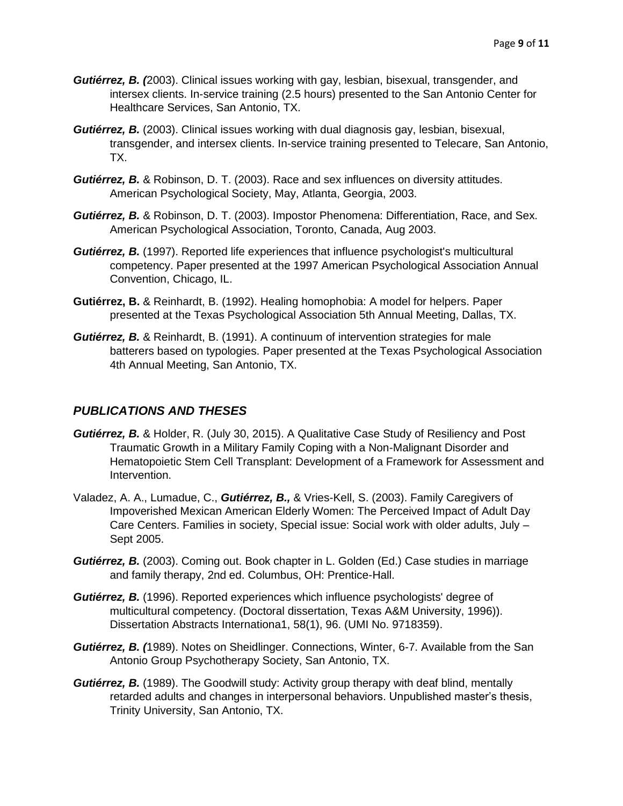- *Gutiérrez, B. (*2003). Clinical issues working with gay, lesbian, bisexual, transgender, and intersex clients. In-service training (2.5 hours) presented to the San Antonio Center for Healthcare Services, San Antonio, TX.
- *Gutiérrez, B.* (2003). Clinical issues working with dual diagnosis gay, lesbian, bisexual, transgender, and intersex clients. In-service training presented to Telecare, San Antonio, TX.
- *Gutiérrez, B.* & Robinson, D. T. (2003). Race and sex influences on diversity attitudes. American Psychological Society, May, Atlanta, Georgia, 2003.
- *Gutiérrez, B.* & Robinson, D. T. (2003). Impostor Phenomena: Differentiation, Race, and Sex. American Psychological Association, Toronto, Canada, Aug 2003.
- *Gutiérrez, B.* (1997). Reported life experiences that influence psychologist's multicultural competency. Paper presented at the 1997 American Psychological Association Annual Convention, Chicago, IL.
- **Gutiérrez, B.** & Reinhardt, B. (1992). Healing homophobia: A model for helpers. Paper presented at the Texas Psychological Association 5th Annual Meeting, Dallas, TX.
- *Gutiérrez, B.* & Reinhardt, B. (1991). A continuum of intervention strategies for male batterers based on typologies. Paper presented at the Texas Psychological Association 4th Annual Meeting, San Antonio, TX.

# *PUBLICATIONS AND THESES*

- *Gutiérrez, B.* & Holder, R. (July 30, 2015). A Qualitative Case Study of Resiliency and Post Traumatic Growth in a Military Family Coping with a Non-Malignant Disorder and Hematopoietic Stem Cell Transplant: Development of a Framework for Assessment and Intervention.
- Valadez, A. A., Lumadue, C., *Gutiérrez, B.,* & Vries-Kell, S. (2003). Family Caregivers of Impoverished Mexican American Elderly Women: The Perceived Impact of Adult Day Care Centers. Families in society, Special issue: Social work with older adults, July – Sept 2005.
- *Gutiérrez, B.* (2003). Coming out. Book chapter in L. Golden (Ed.) Case studies in marriage and family therapy, 2nd ed. Columbus, OH: Prentice-Hall.
- *Gutiérrez, B.* (1996). Reported experiences which influence psychologists' degree of multicultural competency. (Doctoral dissertation, Texas A&M University, 1996)). Dissertation Abstracts Internationa1, 58(1), 96. (UMI No. 9718359).
- *Gutiérrez, B. (*1989). Notes on Sheidlinger. Connections, Winter, 6-7. Available from the San Antonio Group Psychotherapy Society, San Antonio, TX.
- **Gutiérrez, B.** (1989). The Goodwill study: Activity group therapy with deaf blind, mentally retarded adults and changes in interpersonal behaviors. Unpublished master's thesis, Trinity University, San Antonio, TX.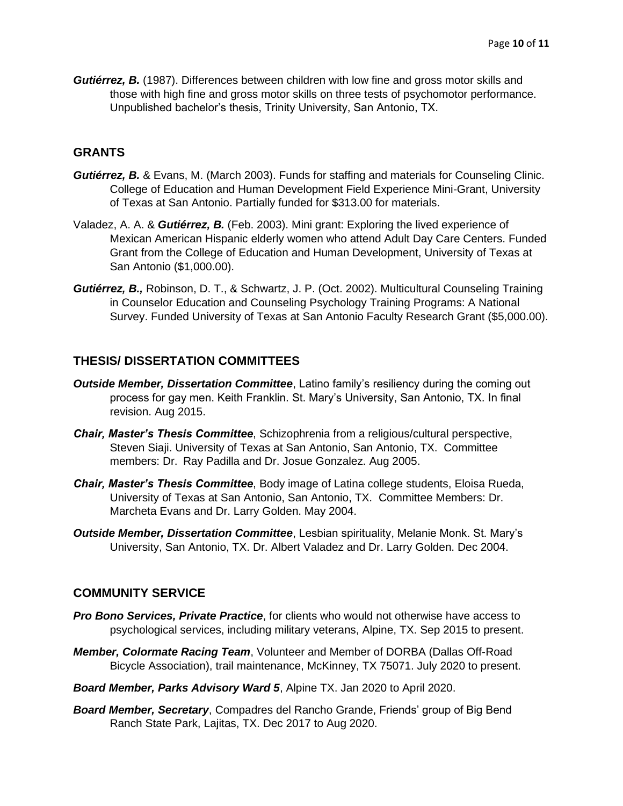*Gutiérrez, B.* (1987). Differences between children with low fine and gross motor skills and those with high fine and gross motor skills on three tests of psychomotor performance. Unpublished bachelor's thesis, Trinity University, San Antonio, TX.

## **GRANTS**

- *Gutiérrez, B.* & Evans, M. (March 2003). Funds for staffing and materials for Counseling Clinic. College of Education and Human Development Field Experience Mini-Grant, University of Texas at San Antonio. Partially funded for \$313.00 for materials.
- Valadez, A. A. & *Gutiérrez, B.* (Feb. 2003). Mini grant: Exploring the lived experience of Mexican American Hispanic elderly women who attend Adult Day Care Centers. Funded Grant from the College of Education and Human Development, University of Texas at San Antonio (\$1,000.00).
- *Gutiérrez, B.,* Robinson, D. T., & Schwartz, J. P. (Oct. 2002). Multicultural Counseling Training in Counselor Education and Counseling Psychology Training Programs: A National Survey. Funded University of Texas at San Antonio Faculty Research Grant (\$5,000.00).

## **THESIS/ DISSERTATION COMMITTEES**

- *Outside Member, Dissertation Committee*, Latino family's resiliency during the coming out process for gay men. Keith Franklin. St. Mary's University, San Antonio, TX. In final revision. Aug 2015.
- *Chair, Master's Thesis Committee*, Schizophrenia from a religious/cultural perspective, Steven Siaji. University of Texas at San Antonio, San Antonio, TX. Committee members: Dr. Ray Padilla and Dr. Josue Gonzalez. Aug 2005.
- *Chair, Master's Thesis Committee*, Body image of Latina college students, Eloisa Rueda, University of Texas at San Antonio, San Antonio, TX. Committee Members: Dr. Marcheta Evans and Dr. Larry Golden. May 2004.
- *Outside Member, Dissertation Committee*, Lesbian spirituality, Melanie Monk. St. Mary's University, San Antonio, TX. Dr. Albert Valadez and Dr. Larry Golden. Dec 2004.

## **COMMUNITY SERVICE**

- *Pro Bono Services, Private Practice*, for clients who would not otherwise have access to psychological services, including military veterans, Alpine, TX. Sep 2015 to present.
- *Member, Colormate Racing Team*, Volunteer and Member of DORBA (Dallas Off-Road Bicycle Association), trail maintenance, McKinney, TX 75071. July 2020 to present.
- *Board Member, Parks Advisory Ward 5*, Alpine TX. Jan 2020 to April 2020.
- *Board Member, Secretary*, Compadres del Rancho Grande, Friends' group of Big Bend Ranch State Park, Lajitas, TX. Dec 2017 to Aug 2020.